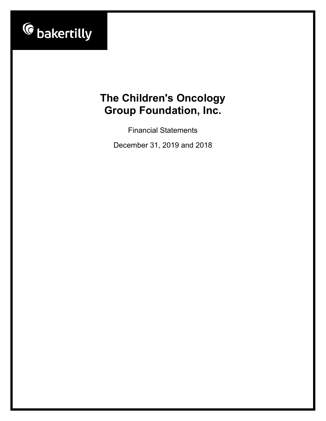

Financial Statements

December 31, 2019 and 2018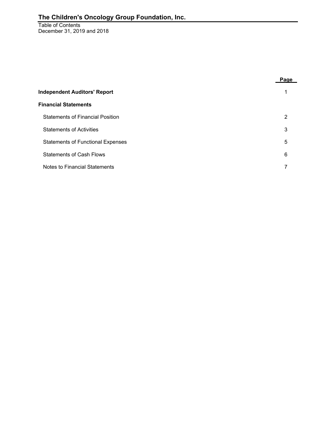Table of Contents December 31, 2019 and 2018

|                                          | Page |
|------------------------------------------|------|
| <b>Independent Auditors' Report</b>      |      |
| <b>Financial Statements</b>              |      |
| <b>Statements of Financial Position</b>  | 2    |
| <b>Statements of Activities</b>          | 3    |
| <b>Statements of Functional Expenses</b> | 5    |
| <b>Statements of Cash Flows</b>          | 6    |
| Notes to Financial Statements            |      |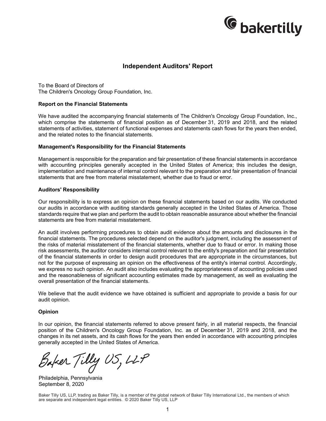

## **Independent Auditors' Report**

To the Board of Directors of The Children's Oncology Group Foundation, Inc.

#### **Report on the Financial Statements**

We have audited the accompanying financial statements of The Children's Oncology Group Foundation, Inc., which comprise the statements of financial position as of December 31, 2019 and 2018, and the related statements of activities, statement of functional expenses and statements cash flows for the years then ended, and the related notes to the financial statements.

#### **Management's Responsibility for the Financial Statements**

Management is responsible for the preparation and fair presentation of these financial statements in accordance with accounting principles generally accepted in the United States of America; this includes the design, implementation and maintenance of internal control relevant to the preparation and fair presentation of financial statements that are free from material misstatement, whether due to fraud or error.

#### **Auditors' Responsibility**

Our responsibility is to express an opinion on these financial statements based on our audits. We conducted our audits in accordance with auditing standards generally accepted in the United States of America. Those standards require that we plan and perform the audit to obtain reasonable assurance about whether the financial statements are free from material misstatement.

An audit involves performing procedures to obtain audit evidence about the amounts and disclosures in the financial statements. The procedures selected depend on the auditor's judgment, including the assessment of the risks of material misstatement of the financial statements, whether due to fraud or error. In making those risk assessments, the auditor considers internal control relevant to the entity's preparation and fair presentation of the financial statements in order to design audit procedures that are appropriate in the circumstances, but not for the purpose of expressing an opinion on the effectiveness of the entity's internal control. Accordingly, we express no such opinion. An audit also includes evaluating the appropriateness of accounting policies used and the reasonableness of significant accounting estimates made by management, as well as evaluating the overall presentation of the financial statements.

We believe that the audit evidence we have obtained is sufficient and appropriate to provide a basis for our audit opinion.

#### **Opinion**

In our opinion, the financial statements referred to above present fairly, in all material respects, the financial position of the Children's Oncology Group Foundation, Inc. as of December 31, 2019 and 2018, and the changes in its net assets, and its cash flows for the years then ended in accordance with accounting principles generally accepted in the United States of America.

Baker Tilly US, LLP

Philadelphia, Pennsylvania September 8, 2020

Baker Tilly US, LLP, trading as Baker Tilly, is a member of the global network of Baker Tilly International Ltd., the members of which are separate and independent legal entities. © 2020 Baker Tilly US, LLP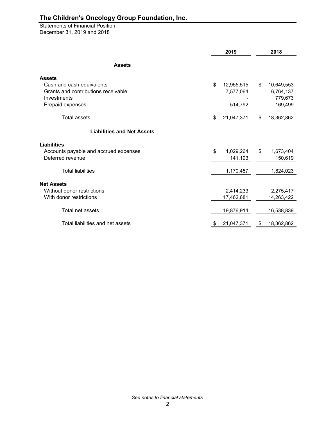Statements of Financial Position December 31, 2019 and 2018

|                                                 | 2019             | 2018 |            |  |
|-------------------------------------------------|------------------|------|------------|--|
| <b>Assets</b>                                   |                  |      |            |  |
| <b>Assets</b>                                   |                  |      |            |  |
| Cash and cash equivalents                       | \$<br>12,955,515 | \$   | 10,649,553 |  |
| Grants and contributions receivable             | 7,577,064        |      | 6,764,137  |  |
| Investments                                     |                  |      | 779,673    |  |
| Prepaid expenses                                | 514,792          |      | 169,499    |  |
| <b>Total assets</b>                             | \$<br>21,047,371 | \$   | 18,362,862 |  |
| <b>Liabilities and Net Assets</b>               |                  |      |            |  |
| <b>Liabilities</b>                              |                  |      |            |  |
| Accounts payable and accrued expenses           | \$<br>1,029,264  | \$   | 1,673,404  |  |
| Deferred revenue                                | 141,193          |      | 150,619    |  |
| <b>Total liabilities</b>                        | 1,170,457        |      | 1,824,023  |  |
|                                                 |                  |      |            |  |
| <b>Net Assets</b><br>Without donor restrictions | 2,414,233        |      | 2,275,417  |  |
| With donor restrictions                         | 17,462,681       |      | 14,263,422 |  |
|                                                 |                  |      |            |  |
| Total net assets                                | 19,876,914       |      | 16,538,839 |  |
| Total liabilities and net assets                | \$<br>21,047,371 | \$   | 18,362,862 |  |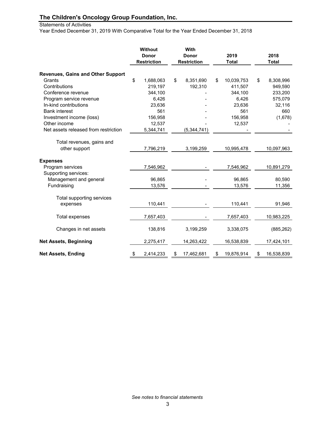## Statements of Activities

Year Ended December 31, 2019 With Comparative Total for the Year Ended December 31, 2018

|                                          | Without<br><b>Donor</b><br><b>Restriction</b> | With<br><b>Donor</b><br><b>Restriction</b> | 2019<br><b>Total</b> | 2018<br><b>Total</b> |
|------------------------------------------|-----------------------------------------------|--------------------------------------------|----------------------|----------------------|
| <b>Revenues, Gains and Other Support</b> |                                               |                                            |                      |                      |
| Grants                                   | \$<br>1,688,063                               | \$<br>8,351,690                            | \$<br>10,039,753     | \$<br>8,308,996      |
| Contributions                            | 219,197                                       | 192,310                                    | 411,507              | 949,590              |
| Conference revenue                       | 344,100                                       |                                            | 344,100              | 233,200              |
| Program service revenue                  | 6,426                                         |                                            | 6,426                | 575,079              |
| In-kind contributions                    | 23,636                                        |                                            | 23,636               | 32,116               |
| <b>Bank interest</b>                     | 561                                           |                                            | 561                  | 660                  |
| Investment income (loss)                 | 156,958                                       |                                            | 156,958              | (1,678)              |
| Other income                             | 12,537                                        |                                            | 12,537               |                      |
| Net assets released from restriction     | 5,344,741                                     | (5,344,741)                                |                      |                      |
| Total revenues, gains and                |                                               |                                            |                      |                      |
| other support                            | 7,796,219                                     | 3,199,259                                  | 10,995,478           | 10,097,963           |
| <b>Expenses</b>                          |                                               |                                            |                      |                      |
| Program services                         | 7,546,962                                     |                                            | 7,546,962            | 10,891,279           |
| Supporting services:                     |                                               |                                            |                      |                      |
| Management and general                   | 96,865                                        |                                            | 96,865               | 80,590               |
| Fundraising                              | 13,576                                        |                                            | 13,576               | 11,356               |
| Total supporting services                |                                               |                                            |                      |                      |
| expenses                                 | 110,441                                       |                                            | 110,441              | 91,946               |
| Total expenses                           | 7,657,403                                     |                                            | 7,657,403            | 10,983,225           |
| Changes in net assets                    | 138,816                                       | 3,199,259                                  | 3,338,075            | (885, 262)           |
| <b>Net Assets, Beginning</b>             | 2,275,417                                     | 14,263,422                                 | 16,538,839           | 17,424,101           |
| <b>Net Assets, Ending</b>                | \$<br>2,414,233                               | \$<br>17,462,681                           | \$<br>19,876,914     | \$<br>16,538,839     |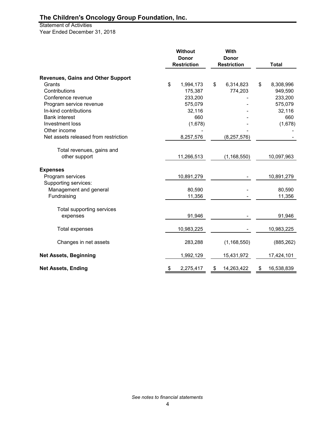Statement of Activities Year Ended December 31, 2018

|                                          | <b>Without</b><br>With<br><b>Donor</b><br><b>Donor</b><br><b>Restriction</b><br><b>Restriction</b> |            |    | <b>Total</b>  |                  |
|------------------------------------------|----------------------------------------------------------------------------------------------------|------------|----|---------------|------------------|
|                                          |                                                                                                    |            |    |               |                  |
| <b>Revenues, Gains and Other Support</b> |                                                                                                    |            |    |               |                  |
| Grants                                   | \$                                                                                                 | 1,994,173  | \$ | 6,314,823     | \$<br>8,308,996  |
| Contributions                            |                                                                                                    | 175,387    |    | 774,203       | 949,590          |
| Conference revenue                       |                                                                                                    | 233,200    |    |               | 233,200          |
| Program service revenue                  |                                                                                                    | 575,079    |    |               | 575,079          |
| In-kind contributions                    |                                                                                                    | 32,116     |    |               | 32,116           |
| <b>Bank interest</b>                     |                                                                                                    | 660        |    |               | 660              |
| Investment loss                          |                                                                                                    | (1,678)    |    |               | (1,678)          |
| Other income                             |                                                                                                    |            |    |               |                  |
| Net assets released from restriction     |                                                                                                    | 8,257,576  |    | (8, 257, 576) |                  |
| Total revenues, gains and                |                                                                                                    |            |    |               |                  |
| other support                            |                                                                                                    | 11,266,513 |    | (1, 168, 550) | 10,097,963       |
| <b>Expenses</b>                          |                                                                                                    |            |    |               |                  |
| Program services                         |                                                                                                    | 10,891,279 |    |               | 10,891,279       |
| Supporting services:                     |                                                                                                    |            |    |               |                  |
| Management and general                   |                                                                                                    | 80,590     |    |               | 80,590           |
| Fundraising                              |                                                                                                    | 11,356     |    |               | 11,356           |
| Total supporting services                |                                                                                                    |            |    |               |                  |
| expenses                                 |                                                                                                    | 91,946     |    |               | 91,946           |
|                                          |                                                                                                    |            |    |               |                  |
| <b>Total expenses</b>                    |                                                                                                    | 10,983,225 |    |               | 10,983,225       |
| Changes in net assets                    |                                                                                                    | 283,288    |    | (1, 168, 550) | (885, 262)       |
| <b>Net Assets, Beginning</b>             |                                                                                                    | 1,992,129  |    | 15,431,972    | 17,424,101       |
| <b>Net Assets, Ending</b>                | \$                                                                                                 | 2,275,417  | \$ | 14,263,422    | \$<br>16,538,839 |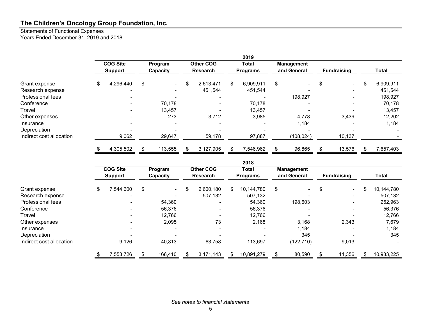#### Statements of Functional Expenses Years Ended December 31, 2019 and 2018

|                          |                 |                |         |                          |                           |    | 2019              |    |                          |                    |                 |
|--------------------------|-----------------|----------------|---------|--------------------------|---------------------------|----|-------------------|----|--------------------------|--------------------|-----------------|
|                          | <b>COG Site</b> |                | Program |                          | <b>Other COG</b><br>Total |    | <b>Management</b> |    |                          |                    |                 |
|                          |                 | <b>Support</b> |         | Capacity                 | <b>Research</b>           |    | <b>Programs</b>   |    | and General              | <b>Fundraising</b> | Total           |
| Grant expense            | \$              | 4,296,440      | \$      | $\overline{\phantom{0}}$ | \$<br>2,613,471           | \$ | 6,909,911         | \$ | $\overline{\phantom{0}}$ | $\sim$             | \$<br>6,909,911 |
| Research expense         |                 |                |         | $\overline{\phantom{0}}$ | 451,544                   |    | 451,544           |    |                          |                    | 451,544         |
| Professional fees        |                 |                |         | $\overline{\phantom{0}}$ | $\overline{\phantom{0}}$  |    |                   |    | 198,927                  |                    | 198,927         |
| Conference               |                 |                |         | 70,178                   | $\overline{\phantom{0}}$  |    | 70,178            |    |                          | -                  | 70,178          |
| Travel                   |                 |                |         | 13,457                   | ۰                         |    | 13,457            |    |                          |                    | 13,457          |
| Other expenses           |                 |                |         | 273                      | 3,712                     |    | 3,985             |    | 4,778                    | 3,439              | 12,202          |
| Insurance                |                 |                |         | $\overline{\phantom{a}}$ | $\overline{\phantom{a}}$  |    |                   |    | 1,184                    | ۰                  | 1,184           |
| Depreciation             |                 |                |         |                          |                           |    |                   |    |                          |                    |                 |
| Indirect cost allocation |                 | 9,062          |         | 29,647                   | 59,178                    |    | 97,887            |    | (108, 024)               | 10,137             |                 |
|                          |                 | 4,305,502      |         | 113,555                  | 3,127,905                 |    | 7,546,962         |    | 96,865                   | 13,576             | 7,657,403       |

|                          |                            |    |                                     |                 |                          | 2018                             |    |                    |              |            |
|--------------------------|----------------------------|----|-------------------------------------|-----------------|--------------------------|----------------------------------|----|--------------------|--------------|------------|
|                          | <b>COG Site</b><br>Program |    | <b>Other COG</b><br><b>Research</b> |                 | Total<br><b>Programs</b> | <b>Management</b><br>and General |    | <b>Fundraising</b> | <b>Total</b> |            |
|                          | <b>Support</b>             |    | Capacity                            |                 |                          |                                  |    |                    |              |            |
| Grant expense            | \$<br>7,544,600            | \$ | $\sim$                              | \$<br>2,600,180 | \$.                      | 10,144,780                       | \$ | $\sim$             | \$<br>$\sim$ | 10,144,780 |
| Research expense         |                            |    |                                     | 507,132         |                          | 507,132                          |    |                    | ۰            | 507,132    |
| Professional fees        |                            |    | 54,360                              |                 |                          | 54,360                           |    | 198,603            | ۰            | 252,963    |
| Conference               |                            |    | 56,376                              |                 |                          | 56,376                           |    |                    |              | 56,376     |
| Travel                   |                            |    | 12,766                              |                 |                          | 12,766                           |    |                    |              | 12,766     |
| Other expenses           |                            |    | 2,095                               | 73              |                          | 2,168                            |    | 3,168              | 2,343        | 7,679      |
| Insurance                |                            |    |                                     |                 |                          |                                  |    | 1,184              |              | 1,184      |
| Depreciation             |                            |    | $\overline{\phantom{a}}$            |                 |                          |                                  |    | 345                |              | 345        |
| Indirect cost allocation | 9,126                      |    | 40,813                              | 63,758          |                          | 113,697                          |    | (122, 710)         | 9,013        |            |
|                          | \$<br>7,553,726            | \$ | 166,410                             | 3.171.143       |                          | 10,891,279                       | \$ | 80,590             | 11,356       | 10,983,225 |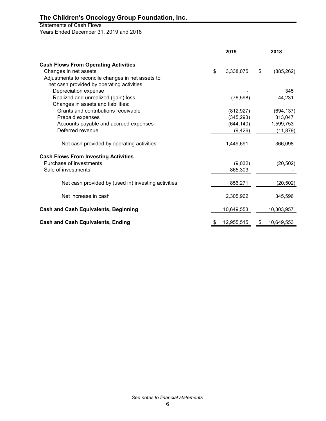# Statements of Cash Flows

Years Ended December 31, 2019 and 2018

|                                                     | 2019 |            | 2018             |
|-----------------------------------------------------|------|------------|------------------|
| <b>Cash Flows From Operating Activities</b>         |      |            |                  |
| Changes in net assets                               | \$   | 3,338,075  | \$<br>(885, 262) |
| Adjustments to reconcile changes in net assets to   |      |            |                  |
| net cash provided by operating activities:          |      |            |                  |
|                                                     |      |            | 345              |
| Depreciation expense                                |      |            |                  |
| Realized and unrealized (gain) loss                 |      | (76, 598)  | 44,231           |
| Changes in assets and liabilities:                  |      |            |                  |
| Grants and contributions receivable                 |      | (812, 927) | (694, 137)       |
| Prepaid expenses                                    |      | (345, 293) | 313,047          |
| Accounts payable and accrued expenses               |      | (644, 140) | 1,599,753        |
| Deferred revenue                                    |      | (9, 426)   | (11, 879)        |
| Net cash provided by operating activities           |      | 1,449,691  | 366,098          |
| <b>Cash Flows From Investing Activities</b>         |      |            |                  |
| Purchase of investments                             |      | (9,032)    | (20, 502)        |
| Sale of investments                                 |      | 865,303    |                  |
| Net cash provided by (used in) investing activities |      | 856,271    | (20, 502)        |
|                                                     |      |            |                  |
| Net increase in cash                                |      | 2,305,962  | 345,596          |
| <b>Cash and Cash Equivalents, Beginning</b>         |      | 10,649,553 | 10,303,957       |
| <b>Cash and Cash Equivalents, Ending</b>            | \$   | 12,955,515 | \$<br>10,649,553 |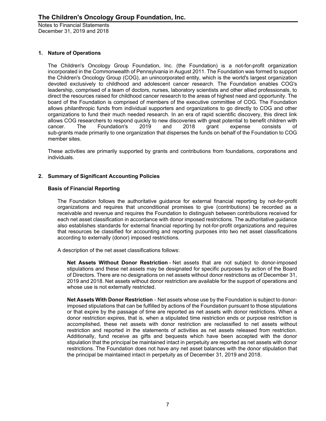## **1. Nature of Operations**

The Children's Oncology Group Foundation, Inc. (the Foundation) is a not-for-profit organization incorporated in the Commonwealth of Pennsylvania in August 2011. The Foundation was formed to support the Children's Oncology Group (COG), an unincorporated entity, which is the world's largest organization devoted exclusively to childhood and adolescent cancer research. The Foundation enables COG's leadership, comprised of a team of doctors, nurses, laboratory scientists and other allied professionals, to direct the resources raised for childhood cancer research to the areas of highest need and opportunity. The board of the Foundation is comprised of members of the executive committee of COG. The Foundation allows philanthropic funds from individual supporters and organizations to go directly to COG and other organizations to fund their much needed research. In an era of rapid scientific discovery, this direct link allows COG researchers to respond quickly to new discoveries with great potential to benefit children with cancer.<br>Cancer. The Foundation's 2019 and 2018 grant expense consists cancer. The Foundation's 2019 and 2018 grant expense consists of sub-grants made primarily to one organization that disperses the funds on behalf of the Foundation to COG member sites.

These activities are primarily supported by grants and contributions from foundations, corporations and individuals.

## **2. Summary of Significant Accounting Policies**

### **Basis of Financial Reporting**

The Foundation follows the authoritative guidance for external financial reporting by not-for-profit organizations and requires that unconditional promises to give (contributions) be recorded as a receivable and revenue and requires the Foundation to distinguish between contributions received for each net asset classification in accordance with donor imposed restrictions. The authoritative guidance also establishes standards for external financial reporting by not-for-profit organizations and requires that resources be classified for accounting and reporting purposes into two net asset classifications according to externally (donor) imposed restrictions.

A description of the net asset classifications follows:

**Net Assets Without Donor Restriction** - Net assets that are not subject to donor-imposed stipulations and these net assets may be designated for specific purposes by action of the Board of Directors. There are no designations on net assets without donor restrictions as of December 31, 2019 and 2018. Net assets without donor restriction are available for the support of operations and whose use is not externally restricted.

**Net Assets With Donor Restriction** - Net assets whose use by the Foundation is subject to donorimposed stipulations that can be fulfilled by actions of the Foundation pursuant to those stipulations or that expire by the passage of time are reported as net assets with donor restrictions. When a donor restriction expires, that is, when a stipulated time restriction ends or purpose restriction is accomplished, these net assets with donor restriction are reclassified to net assets without restriction and reported in the statements of activities as net assets released from restriction. Additionally, fund receive as gifts and bequests which have been accepted with the donor stipulation that the principal be maintained intact in perpetuity are reported as net assets with donor restrictions. The Foundation does not have any net asset balances with the donor stipulation that the principal be maintained intact in perpetuity as of December 31, 2019 and 2018.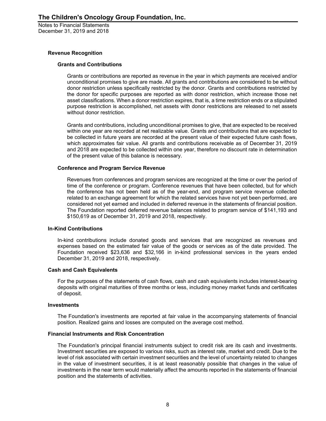#### **Revenue Recognition**

### **Grants and Contributions**

Grants or contributions are reported as revenue in the year in which payments are received and/or unconditional promises to give are made. All grants and contributions are considered to be without donor restriction unless specifically restricted by the donor. Grants and contributions restricted by the donor for specific purposes are reported as with donor restriction, which increase those net asset classifications. When a donor restriction expires, that is, a time restriction ends or a stipulated purpose restriction is accomplished, net assets with donor restrictions are released to net assets without donor restriction.

Grants and contributions, including unconditional promises to give, that are expected to be received within one year are recorded at net realizable value. Grants and contributions that are expected to be collected in future years are recorded at the present value of their expected future cash flows, which approximates fair value. All grants and contributions receivable as of December 31, 2019 and 2018 are expected to be collected within one year, therefore no discount rate in determination of the present value of this balance is necessary.

## **Conference and Program Service Revenue**

Revenues from conferences and program services are recognized at the time or over the period of time of the conference or program. Conference revenues that have been collected, but for which the conference has not been held as of the year-end, and program service revenue collected related to an exchange agreement for which the related services have not yet been performed, are considered not yet earned and included in deferred revenue in the statements of financial position. The Foundation reported deferred revenue balances related to program service of \$141,193 and \$150,619 as of December 31, 2019 and 2018, respectively.

#### **In-Kind Contributions**

In-kind contributions include donated goods and services that are recognized as revenues and expenses based on the estimated fair value of the goods or services as of the date provided. The Foundation received \$23,636 and \$32,166 in in-kind professional services in the years ended December 31, 2019 and 2018, respectively.

#### **Cash and Cash Equivalents**

For the purposes of the statements of cash flows, cash and cash equivalents includes interest-bearing deposits with original maturities of three months or less, including money market funds and certificates of deposit.

#### **Investments**

The Foundation's investments are reported at fair value in the accompanying statements of financial position. Realized gains and losses are computed on the average cost method.

#### **Financial Instruments and Risk Concentration**

The Foundation's principal financial instruments subject to credit risk are its cash and investments. Investment securities are exposed to various risks, such as interest rate, market and credit. Due to the level of risk associated with certain investment securities and the level of uncertainty related to changes in the value of investment securities, it is at least reasonably possible that changes in the value of investments in the near term would materially affect the amounts reported in the statements of financial position and the statements of activities.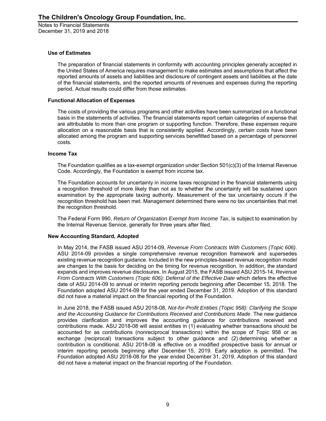### **Use of Estimates**

The preparation of financial statements in conformity with accounting principles generally accepted in the United States of America requires management to make estimates and assumptions that affect the reported amounts of assets and liabilities and disclosure of contingent assets and liabilities at the date of the financial statements, and the reported amounts of revenues and expenses during the reporting period. Actual results could differ from those estimates.

#### **Functional Allocation of Expenses**

The costs of providing the various programs and other activities have been summarized on a functional basis in the statements of activities. The financial statements report certain categories of expense that are attributable to more than one program or supporting function. Therefore, these expenses require allocation on a reasonable basis that is consistently applied. Accordingly, certain costs have been allocated among the program and supporting services benefitted based on a percentage of personnel costs.

### **Income Tax**

The Foundation qualifies as a tax-exempt organization under Section 501(c)(3) of the Internal Revenue Code. Accordingly, the Foundation is exempt from income tax.

The Foundation accounts for uncertainty in income taxes recognized in the financial statements using a recognition threshold of more likely than not as to whether the uncertainty will be sustained upon examination by the appropriate taxing authority. Measurement of the tax uncertainty occurs if the recognition threshold has been met. Management determined there were no tax uncertainties that met the recognition threshold.

The Federal Form 990, *Return of Organization Exempt from Income Tax*, is subject to examination by the Internal Revenue Service, generally for three years after filed.

#### **New Accounting Standard, Adopted**

In May 2014, the FASB issued ASU 2014-09, *Revenue From Contracts With Customers (Topic 606)*. ASU 2014-09 provides a single comprehensive revenue recognition framework and supersedes existing revenue recognition guidance. Included in the new principles-based revenue recognition model are changes to the basis for deciding on the timing for revenue recognition. In addition, the standard expands and improves revenue disclosures. In August 2015, the FASB issued ASU 2015-14, *Revenue From Contracts With Customers (Topic 606): Deferral of the Effective Date* which defers the effective date of ASU 2014-09 to annual or interim reporting periods beginning after December 15, 2018. The Foundation adopted ASU 2014-09 for the year ended December 31, 2019. Adoption of this standard did not have a material impact on the financial reporting of the Foundation.

In June 2018, the FASB issued ASU 2018-08, *Not-for-Profit Entities (Topic 958): Clarifying the Scope and the Accounting Guidance for Contributions Received and Contributions Made*. The new guidance provides clarification and improves the accounting guidance for contributions received and contributions made. ASU 2018-08 will assist entities in (1) evaluating whether transactions should be accounted for as contributions (nonreciprocal transactions) within the scope of Topic 958 or as exchange (reciprocal) transactions subject to other guidance and (2) determining whether a contribution is conditional. ASU 2018-08 is effective on a modified prospective basis for annual or interim reporting periods beginning after December 15, 2019. Early adoption is permitted. The Foundation adopted ASU 2018-08 for the year ended December 31, 2019. Adoption of this standard did not have a material impact on the financial reporting of the Foundation.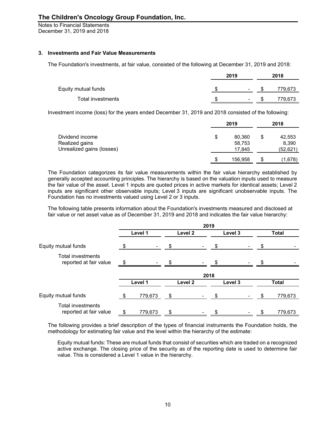Notes to Financial Statements December 31, 2019 and 2018

### **3. Investments and Fair Value Measurements**

The Foundation's investments, at fair value, consisted of the following at December 31, 2019 and 2018:

|                     | 2019 | 2018   |         |  |
|---------------------|------|--------|---------|--|
| Equity mutual funds |      | $\sim$ | 779.673 |  |
| Total investments   |      | $\sim$ | 779.673 |  |

Investment income (loss) for the years ended December 31, 2019 and 2018 consisted of the following:

|                           |    | 2019    |    | 2018      |
|---------------------------|----|---------|----|-----------|
| Dividend income           | \$ | 80,360  | \$ | 42,553    |
| Realized gains            |    | 58,753  |    | 8,390     |
| Unrealized gains (losses) |    | 17,845  |    | (52, 621) |
|                           | S  | 156,958 | Œ  | (1,678)   |

The Foundation categorizes its fair value measurements within the fair value hierarchy established by generally accepted accounting principles. The hierarchy is based on the valuation inputs used to measure the fair value of the asset. Level 1 inputs are quoted prices in active markets for identical assets; Level 2 inputs are significant other observable inputs; Level 3 inputs are significant unobservable inputs. The Foundation has no investments valued using Level 2 or 3 inputs.

The following table presents information about the Foundation's investments measured and disclosed at fair value or net asset value as of December 31, 2019 and 2018 and indicates the fair value hierarchy:

|                                             | 2019          |         |                |         |                          |    |              |
|---------------------------------------------|---------------|---------|----------------|---------|--------------------------|----|--------------|
|                                             | Level 1       | Level 2 |                | Level 3 |                          |    | <b>Total</b> |
| Equity mutual funds                         | \$            | \$      | $\blacksquare$ | \$      | $\overline{\phantom{a}}$ | \$ |              |
| Total investments<br>reported at fair value | \$            | \$      |                |         |                          | \$ |              |
|                                             |               |         | 2018           |         |                          |    |              |
|                                             | Level 1       | Level 2 |                | Level 3 |                          |    | <b>Total</b> |
| Equity mutual funds                         | \$<br>779,673 | \$      |                | -\$     |                          | \$ | 779,673      |
| Total investments<br>reported at fair value | \$<br>779,673 | \$      |                | \$      | -                        | \$ | 779,673      |

The following provides a brief description of the types of financial instruments the Foundation holds, the methodology for estimating fair value and the level within the hierarchy of the estimate:

Equity mutual funds: These are mutual funds that consist of securities which are traded on a recognized active exchange. The closing price of the security as of the reporting date is used to determine fair value. This is considered a Level 1 value in the hierarchy.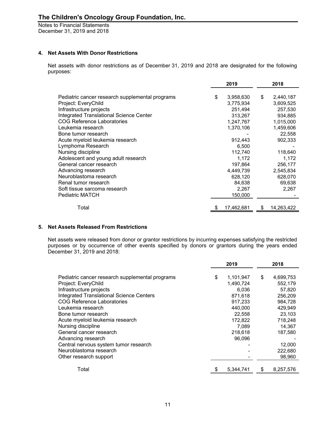## **4. Net Assets With Donor Restrictions**

Net assets with donor restrictions as of December 31, 2019 and 2018 are designated for the following purposes:

|                                                 | 2019            |    | 2018       |
|-------------------------------------------------|-----------------|----|------------|
| Pediatric cancer research supplemental programs | \$<br>3,958,630 | \$ | 2,440,187  |
| Project: EveryChild                             | 3,775,934       |    | 3,609,525  |
| Infrastructure projects                         | 251,494         |    | 257,530    |
| Integrated Translational Science Center         | 313,267         |    | 934,885    |
| COG Reference Laboratories                      | 1,247,767       |    | 1,015,000  |
| Leukemia research                               | 1,370,106       |    | 1,459,606  |
| Bone tumor research                             |                 |    | 22,558     |
| Acute myeloid leukemia research                 | 912,443         |    | 902,333    |
| Lymphoma Research                               | 6,500           |    |            |
| Nursing discipline                              | 112,740         |    | 118,640    |
| Adolescent and young adult research             | 1,172           |    | 1,172      |
| General cancer research                         | 197,864         |    | 256,177    |
| Advancing research                              | 4,449,739       |    | 2,545,834  |
| Neuroblastoma research                          | 628,120         |    | 628,070    |
| Renal tumor research                            | 84,638          |    | 69,638     |
| Soft tissue sarcoma research                    | 2,267           |    | 2,267      |
| <b>Pediatric MATCH</b>                          | 150,000         |    |            |
| Total                                           | 17,462,681      | S  | 14,263,422 |
|                                                 |                 |    |            |

## **5. Net Assets Released From Restrictions**

Net assets were released from donor or grantor restrictions by incurring expenses satisfying the restricted purposes or by occurrence of other events specified by donors or grantors during the years ended December 31, 2019 and 2018:

|                                                 | 2019 |           | 2018            |  |
|-------------------------------------------------|------|-----------|-----------------|--|
| Pediatric cancer research supplemental programs | \$   | 1,101,947 | \$<br>4,699,753 |  |
| Project: EveryChild                             |      | 1,490,724 | 552,179         |  |
| Infrastructure projects                         |      | 6.036     | 57,820          |  |
| <b>Integrated Translational Science Centers</b> |      | 871.618   | 256,209         |  |
| <b>COG Reference Laboratories</b>               |      | 917,233   | 984,728         |  |
| Leukemia research                               |      | 440.000   | 429.949         |  |
| Bone tumor research                             |      | 22,558    | 23,103          |  |
| Acute myeloid leukemia research                 |      | 172,822   | 718,248         |  |
| Nursing discipline                              |      | 7,089     | 14,367          |  |
| General cancer research                         |      | 218,618   | 187,580         |  |
| Advancing research                              |      | 96,096    |                 |  |
| Central nervous system tumor research           |      |           | 12,000          |  |
| Neuroblastoma research                          |      |           | 222,680         |  |
| Other research support                          |      |           | 98,960          |  |
| Total                                           |      | 5,344,741 | \$<br>8,257,576 |  |